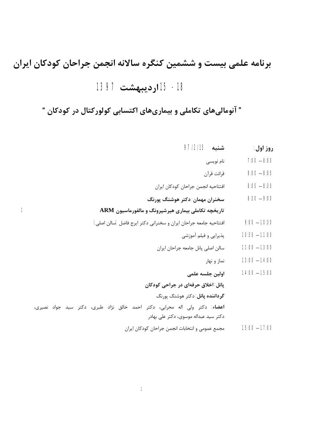## **برنامه علمی بیست و ششمین کنگره سالانه انجمن جراحان کودکان ایران -18 15 اردیبهشت 1397**

**" آنومالیهاي تکاملی و بیماريهاي اکتسابی کولورکتال در کودکان "** 

| روز اول:        | شنبه 97/2/15                                                                                                                |   |
|-----------------|-----------------------------------------------------------------------------------------------------------------------------|---|
| $7:00 - 8:00$   | نام نويسي                                                                                                                   |   |
| $8:00 - 8:05$   | قرائت قرآن                                                                                                                  |   |
| $8:05 - 8:30$   | افتتاحيه انجمن جراحان كودكان ايران                                                                                          |   |
| $8:30 - 9:00$   | سخنران مهمان: دکتر هوشنگ پورنگ                                                                                              |   |
|                 | تاریخچه تکاملی بیماری هیرشپرونگ و مالفورماسیون ARM                                                                          | 1 |
| $9:00 - 10:30$  | افتتاحيه جامعه جراحان ايران و سخنراني دكتر ايرج فاضل (سالن اصلي)                                                            |   |
| $10:30 - 11:00$ | پذیرایی و فیلم آموزشی                                                                                                       |   |
| $11:00 - 13:00$ | سالن اصلي پانل جامعه جراحان ايران                                                                                           |   |
| $13:00 - 14:00$ | نماز و نهار                                                                                                                 |   |
| $14:00 - 15:00$ | اولين جلسه علمى                                                                                                             |   |
|                 | پانل: اخلاق حرفهای در جراحی کودکان                                                                                          |   |
|                 | گرداننده پانل: دکتر هوشنگ پورنگ                                                                                             |   |
|                 | <b>اعضاء</b> : دکتر ولی اله محرابی، دکتر احمد خالق نژاد طبری، دکتر سید جواد نصیری،<br>دکتر سید عبداله موسوی، دکتر علی بهادر |   |
| $15:00 - 17:00$ | مجمع عمومي و انتخابات انجمن جراحان كودكان ايران                                                                             |   |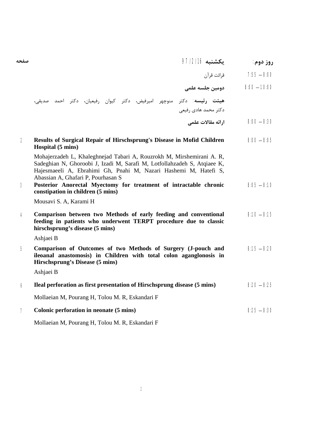| صفحه | ىكشنىه 97/2/16 | روز دوم: |
|------|----------------|----------|
|      |                |          |

8:00 – 7:55 قرائت قرآن

10:00 – 8:00 **دومین جلسه علمی** 

 **هیئت رئیسه:** دکتر منوچهر امیرفیض، دکتر کیوان رفیعیان، دکتر احمد صدیقی، دکتر محمد هادي رفیعی

8:30 – 8:00 **ارائه مقالات علمی** 

| $\overline{2}$ | Results of Surgical Repair of Hirschsprung's Disease in Mofid Children<br>Hospital (5 mins)                                                                                                                                                                 | $8:00 - 8:05$ |
|----------------|-------------------------------------------------------------------------------------------------------------------------------------------------------------------------------------------------------------------------------------------------------------|---------------|
|                | Mohajerzadeh L, Khaleghnejad Tabari A, Rouzrokh M, Mirshemirani A. R,<br>Sadeghian N, Ghoroobi J, Izadi M, Sarafi M, Lotfollahzadeh S, Atqiaee K,<br>Hajesmaeeli A, Ebrahimi Gh, Pnahi M, Nazari Hashemi M, Hatefi S,<br>Abassian A, Ghafari P, Pourhasan S |               |
| 3              | Posterior Anorectal Myectomy for treatment of intractable chronic<br>constipation in children (5 mins)                                                                                                                                                      | $8:05 - 8:10$ |
|                | Mousavi S. A, Karami H                                                                                                                                                                                                                                      |               |
| $\overline{4}$ | Comparison between two Methods of early feeding and conventional<br>feeding in patients who underwent TERPT procedure due to classic<br>hirschsprung's disease (5 mins)                                                                                     | $8:10 - 8:15$ |
|                | Ashjaei B                                                                                                                                                                                                                                                   |               |
| 5              | Comparison of Outcomes of two Methods of Surgery (J-pouch and<br>ileoanal anastomosis) in Children with total colon aganglonosis in<br>Hirschsprung's Disease (5 mins)                                                                                      | $8:15 - 8:20$ |
|                | Ashjaei B                                                                                                                                                                                                                                                   |               |
| 6              | Ileal perforation as first presentation of Hirschsprung disease (5 mins)                                                                                                                                                                                    | $8:20 - 8:25$ |
|                | Mollaeian M, Pourang H, Tolou M. R, Eskandari F                                                                                                                                                                                                             |               |
| $\overline{7}$ | Colonic perforation in neonate (5 mins)                                                                                                                                                                                                                     | $8:25 - 8:30$ |
|                | Mollaeian M, Pourang H, Tolou M. R, Eskandari F                                                                                                                                                                                                             |               |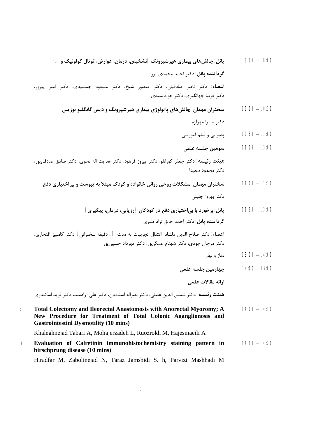- 10:00 8:30 **پانل: چالشهاي بیماري هیرشپرونگ (تشخیص، درمان، عوارض، توتال کولونیک و ...) گرداننده پانل:** دکتر احمد محمدي پور **اعضاء:** دکتر ناصر صادقیان، دکتر منصور شیخ، دکتر مسعود جمشیدي، دکتر امیر پیروز، دکتر فریبا جهانگیري، دکتر جواد سیدي
	- 10:30 10:00 **سخنران مهمان: چالشهاي پاتولوژي بیماري هیرشپرونگ و دیس گانگلیو نوزیس**  دکتر میترا مهرآزما
		- 11:00 10:30 پذیرایی و فیلم آموزشی
- 13:00 11:00 **سومین جلسه علمی هیئت رئیسه:** دکتر جعفر کورانلو، دکتر پیروز فرهود، دکتر هدایت اله نحوي، دکتر صادق صادقیپور، دکتر محمود سعیدا
- 11:30 11:00 **سخنران مهمان: مشکلات روحی روانی خانواده و کودك مبتلا به یبوست و بیاختیاري دفع**  دکتر بهروز جلیلی
	- 13:00 11:30 **پانل: برخورد با بیاختیاري دفع در کودکان (ارزیابی، درمان، پیگیري) ل گرداننده پان :** دکتر احمد خالق نژاد طبري **اعضاء:** دکتر صلاح الدین دلشاد (انتقال تجربیات به مدت 10 دقیقه سخنرانی)، دکتر کامبیز افتخاري،

دکتر مرجان جودي، دکتر شهنام عسگرپور، دکتر مهرداد حسینپور

- 14:00 13:00 نماز و نهار
	- 16:00 14:00 **چهارمین جلسه علمی**

**ارائه مقالات علمی** 

**هیئت رئیسه:** دکتر شمس الدین عاملی، دکتر نصراله استادیان، دکتر علی آزادمند، دکتر فرید اسکندري

- **Total Colectomy and Ileorectal Anastomosis with Anorectal Myoromy; A** 14:00 14:10 **New Procedure for Treatment of Total Colonic Aganglionosis and Gastrointestinl Dysmotility (10 mins)**  Khaleghnejad Tabari A, Mohajerzadeh L, Ruozrokh M, Hajesmaeili A  **8**
- **Evaluation of Calretinin immunohistochemistry staining pattern in** 14:10 14:20 **hirschprung disease (10 mins) 9**

Hiradfar M, Zabolinejad N, Taraz Jamshidi S. h, Parvizi Mashhadi M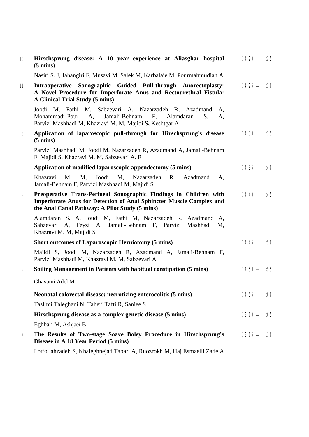| 10 <sup>°</sup>   | Hirschsprung disease: A 10 year experience at Aliasghar hospital<br>$(5 \text{ mins})$                                                                                                            | $14:20 - 14:25$ |
|-------------------|---------------------------------------------------------------------------------------------------------------------------------------------------------------------------------------------------|-----------------|
|                   | Nasiri S. J, Jahangiri F, Musavi M, Salek M, Karbalaie M, Pourmahmudian A                                                                                                                         |                 |
| 11                | Intraoperative Sonographic Guided Pull-through Anorectoplasty:<br>A Novel Procedure for Imperforate Anus and Rectourethral Fistula:<br>A Clinical Trial Study (5 mins)                            | $14:25 - 14:30$ |
|                   | Joodi M, Fathi M, Sabzevari A, Nazarzadeh R, Azadmand<br>A,<br>A,<br>Jamali-Behnam<br>F,<br>Alamdaran<br>Mohammadi-Pour<br>S.<br>A,<br>Parvizi Mashhadi M, Khazravi M. M, Majidi S, Keshtgar A    |                 |
| $12 \overline{ }$ | Application of laparoscopic pull-through for Hirschsprung's disease<br>$(5 \text{ mins})$                                                                                                         | $14:30 - 14:35$ |
|                   | Parvizi Mashhadi M, Joodi M, Nazarzadeh R, Azadmand A, Jamali-Behnam<br>F, Majidi S, Khazravi M. M, Sabzevari A. R                                                                                |                 |
| 13                | Application of modified laparoscopic appendectomy (5 mins)                                                                                                                                        | $14:35 - 14:40$ |
|                   | M.<br>Khazravi<br>M,<br>Joodi<br>M,<br>Nazarzadeh<br>R,<br>Azadmand<br>Α,<br>Jamali-Behnam F, Parvizi Mashhadi M, Majidi S                                                                        |                 |
| 14                | Preoperative Trans-Perineal Sonographic Findings in Children with<br><b>Imperforate Anus for Detection of Anal Sphincter Muscle Complex and</b><br>the Anal Canal Pathway: A Pilot Study (5 mins) | $14:40 - 14:45$ |
|                   | Alamdaran S. A, Joudi M, Fathi M, Nazarzadeh R, Azadmand A,<br>Sabzevari A, Feyzi A, Jamali-Behnam F, Parvizi<br>Mashhadi<br>M,<br>Khazravi M. M, Majidi S                                        |                 |
| 15                | <b>Short outcomes of Laparoscopic Herniotomy (5 mins)</b>                                                                                                                                         | $14:45 - 14:50$ |
|                   | Majidi S, Joodi M, Nazarzadeh R, Azadmand A, Jamali-Behnam F,<br>Parvizi Mashhadi M, Khazravi M. M, Sabzevari A                                                                                   |                 |
| 16                | Soiling Management in Patients with habitual constipation (5 mins)                                                                                                                                | $14:50 - 14:55$ |
|                   | Ghavami Adel M                                                                                                                                                                                    |                 |
| 17                | Neonatal colorectal disease: necrotizing enterocolitis (5 mins)                                                                                                                                   | $14:55 - 15:00$ |
|                   | Taslimi Taleghani N, Taheri Tafti R, Saniee S                                                                                                                                                     |                 |
| 18                | Hirschsprung disease as a complex genetic disease (5 mins)                                                                                                                                        | $15:00 - 15:05$ |
|                   | Eghbali M, Ashjaei B                                                                                                                                                                              |                 |
| 19                | The Results of Two-stage Soave Boley Procedure in Hirschsprung's<br>Disease in A 18 Year Period (5 mins)                                                                                          | $15:05 - 15:10$ |
|                   | Lotfollahzadeh S, Khaleghnejad Tabari A, Ruozrokh M, Haj Esmaeili Zade A                                                                                                                          |                 |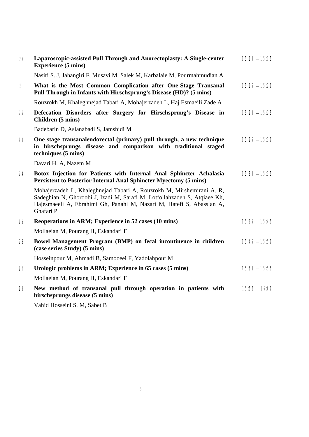| 20 | Laparoscopic-assisted Pull Through and Anorectoplasty: A Single-center<br><b>Experience (5 mins)</b>                                                                                                                                     | $15:10 - 15:15$ |
|----|------------------------------------------------------------------------------------------------------------------------------------------------------------------------------------------------------------------------------------------|-----------------|
|    | Nasiri S. J, Jahangiri F, Musavi M, Salek M, Karbalaie M, Pourmahmudian A                                                                                                                                                                |                 |
| 21 | What is the Most Common Complication after One-Stage Transanal<br>Pull-Through in Infants with Hirschsprung's Disease (HD)? (5 mins)                                                                                                     | $15:15 - 15:20$ |
|    | Rouzrokh M, Khaleghnejad Tabari A, Mohajerzadeh L, Haj Esmaeili Zade A                                                                                                                                                                   |                 |
| 22 | Defecation Disorders after Surgery for Hirschsprung's Disease in<br>Children (5 mins)                                                                                                                                                    | $15:20 - 15:25$ |
|    | Badebarin D, Aslanabadi S, Jamshidi M                                                                                                                                                                                                    |                 |
| 23 | One stage transanalendorectal (primary) pull through, a new technique<br>in hirschsprungs disease and comparison with traditional staged<br>techniques (5 mins)                                                                          | $15:25 - 15:30$ |
|    | Davari H. A, Nazem M                                                                                                                                                                                                                     |                 |
| 24 | Botox Injection for Patients with Internal Anal Sphincter Achalasia<br><b>Persistent to Posterior Internal Anal Sphincter Myectomy (5 mins)</b>                                                                                          | $15:30 - 15:35$ |
|    | Mohajerzadeh L, Khaleghnejad Tabari A, Rouzrokh M, Mirshemirani A. R,<br>Sadeghian N, Ghoroobi J, Izadi M, Sarafi M, Lotfollahzadeh S, Atqiaee Kh,<br>Hajesmaeeli A, Ebrahimi Gh, Panahi M, Nazari M, Hatefi S, Abassian A,<br>Ghafari P |                 |
| 25 | Reoperations in ARM; Experience in 52 cases (10 mins)                                                                                                                                                                                    | $15:35 - 15:45$ |
|    | Mollaeian M, Pourang H, Eskandari F                                                                                                                                                                                                      |                 |
| 26 | Bowel Management Program (BMP) on fecal incontinence in children<br>(case series Study) (5 mins)                                                                                                                                         | $15:45 - 15:50$ |
|    | Hosseinpour M, Ahmadi B, Samooeei F, Yadolahpour M                                                                                                                                                                                       |                 |
| 27 | Urologic problems in ARM; Experience in 65 cases (5 mins)                                                                                                                                                                                | $15:50 - 15:55$ |
|    | Mollaeian M, Pourang H, Eskandari F                                                                                                                                                                                                      |                 |
| 28 | New method of transanal pull through operation in patients with<br>hirschsprungs disease (5 mins)                                                                                                                                        | $15:55 - 16:00$ |
|    | Vahid Hosseini S. M, Sabet B                                                                                                                                                                                                             |                 |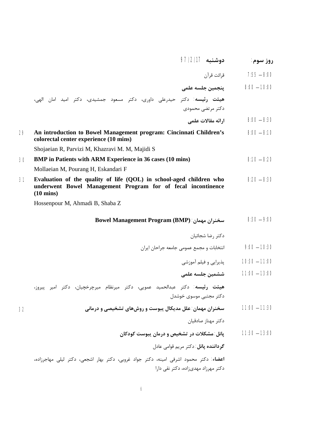|    | دوشنبه 97/2/17                                                                                                                                             | روز سوم:        |
|----|------------------------------------------------------------------------------------------------------------------------------------------------------------|-----------------|
|    | قرائت قرآن                                                                                                                                                 | $7:55 - 8:00$   |
|    | ينجمين جلسه علمى                                                                                                                                           | $8:00 - 10:00$  |
|    | هیئت رئیسه: دکتر حیدرعلی داوری، دکتر مسعود جمشیدی، دکتر امید امان الهی،                                                                                    |                 |
|    | دکتر مرتضى محمودى                                                                                                                                          |                 |
|    | ارائه مقالات علمي                                                                                                                                          | $8:00 - 8:30$   |
| 29 | An introduction to Bowel Management program: Cincinnati Children's<br>colorectal center experience (10 mins)                                               | $8:00 - 8:10$   |
|    | Shojaeian R, Parvizi M, Khazravi M. M, Majidi S                                                                                                            |                 |
| 30 | <b>BMP</b> in Patients with ARM Experience in 36 cases (10 mins)                                                                                           | $8:10 - 8:20$   |
|    | Mollaeian M, Pourang H, Eskandari F                                                                                                                        |                 |
| 31 | Evaluation of the quality of life (QOL) in school-aged children who<br>underwent Bowel Management Program for of fecal incontinence<br>$(10 \text{ mins})$ | $8:20 - 8:30$   |
|    | Hossenpour M, Ahmadi B, Shaba Z                                                                                                                            |                 |
|    | سخنران مهمان: Bowel Management Program (BMP)                                                                                                               | $8:30 - 9:00$   |
|    | دكتر رضا شجائيان                                                                                                                                           |                 |
|    | انتخابات و مجمع عمومی جامعه جراحان ایران                                                                                                                   | $9:00 - 10:30$  |
|    | پذیرایی و فیلم آموزشی                                                                                                                                      | $10:30 - 11:00$ |
|    | ششمين جلسه علمى                                                                                                                                            | $11:00 - 13:00$ |
|    | هیئت رئیسه: دکتر عبدالحمید عمویی، دکتر میرنظام میرچرخچیان، دکتر امیر پیروز،                                                                                |                 |
|    | دکتر مجتبی موسوی خوشدل                                                                                                                                     |                 |
| 32 | سخنران مهمان: علل مدیکال پبوست و روشهای تشخیصی و درمانی                                                                                                    | $11:00 - 11:30$ |
|    | دكتر مهناز صادقيان                                                                                                                                         |                 |
|    | پانل: مشکلات در تشخیص و درمان پبوست کودکان                                                                                                                 | $11:30 - 13:00$ |
|    | گرداننده پانل: دکتر مريم قوامي عادل                                                                                                                        |                 |
|    | <b>اعضاء</b> : دکتر محمود اشرفی امینه، دکتر جواد غروبی، دکتر بهار اشجعی، دکتر لیلی مهاجرزاده،                                                              |                 |
|    | دکتر مهرزاد مهدیزاده، دکتر نقی دارا                                                                                                                        |                 |
|    |                                                                                                                                                            |                 |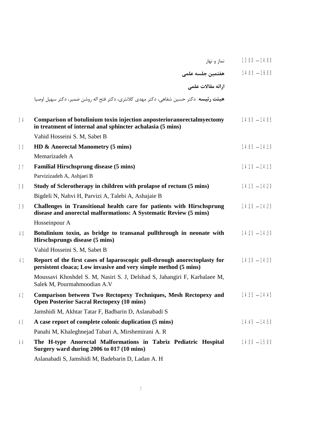|    | نماز و نهار                                                                                                                                  | $13:00 - 14:00$ |
|----|----------------------------------------------------------------------------------------------------------------------------------------------|-----------------|
|    | هفتمين جلسه علمى                                                                                                                             | $14:00 - 16:00$ |
|    | ارائه مقالات علمي                                                                                                                            |                 |
|    | هيئت رئيسه: دكتر حسين شفاهي، دكتر مهدي كلانتري، دكتر فتح اله روشن ضمير، دكتر سهيل اوصيا                                                      |                 |
| 34 | Comparison of botulinium toxin injection anposterioranorectalmyectomy<br>in treatment of internal anal sphincter achalasia (5 mins)          | $14:00 - 14:05$ |
|    | Vahid Hosseini S. M, Sabet B                                                                                                                 |                 |
| 35 | HD & Anorectal Manometry (5 mins)                                                                                                            | $14:05 - 14:10$ |
|    | Memarizadeh A                                                                                                                                |                 |
| 37 | <b>Familial Hirschsprung disease (5 mins)</b>                                                                                                | $14:10 - 14:15$ |
|    | Parvizizadeh A, Ashjaei B                                                                                                                    |                 |
| 38 | Study of Sclerotherapy in children with prolapse of rectum (5 mins)                                                                          | $14:15 - 14:20$ |
|    | Bigdeli N, Nahvi H, Parvizi A, Talebi A, Ashajaie B                                                                                          |                 |
| 39 | Challenges in Transitional health care for patients with Hirschsprung<br>disease and anorectal malformations: A Systematic Review (5 mins)   | $14:20 - 14:25$ |
|    | Hosseinpour A                                                                                                                                |                 |
| 40 | Botulinium toxin, as bridge to transanal pullthrough in neonate with<br>Hirschsprungs disease (5 mins)                                       | $14:25 - 14:30$ |
|    | Vahid Hosseini S. M, Sabet B                                                                                                                 |                 |
| 41 | Report of the first cases of laparoscopic pull-through anorectoplasty for<br>persistent cloaca; Low invasive and very simple method (5 mins) | $14:30 - 14:35$ |
|    | Moussavi Khoshdel S. M, Nasiri S. J, Delshad S, Jahangiri F, Karbalaee M,<br>Salek M, Pourmahmoodian A.V                                     |                 |
| 42 | Comparison between Two Rectopexy Techniques, Mesh Rectopexy and<br><b>Open Posterior Sacral Rectopexy (10 mins)</b>                          | $14:35 - 14:45$ |
|    | Jamshidi M, Akhtar Tatar F, Badbarin D, Aslanabadi S                                                                                         |                 |
| 43 | A case report of complete colonic duplication (5 mins)                                                                                       | $14:45 - 14:50$ |
|    | Panahi M, Khaleghnejad Tabari A, Mirshemirani A. R                                                                                           |                 |
| 44 | The H-type Anorectal Malformations in Tabriz Pediatric Hospital<br>Surgery ward during 2006 to 017 (10 mins)                                 | $14:50 - 15:00$ |
|    |                                                                                                                                              |                 |

Aslanabadi S, Jamshidi M, Badebarin D, Ladan A. H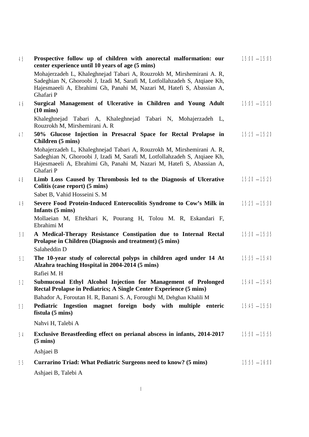| 45 | Prospective follow up of children with anorectal malformation: our<br>center experience until 10 years of age (5 mins)                                                                                                                   | $15:00 - 15:05$ |
|----|------------------------------------------------------------------------------------------------------------------------------------------------------------------------------------------------------------------------------------------|-----------------|
|    | Mohajerzadeh L, Khaleghnejad Tabari A, Rouzrokh M, Mirshemirani A. R,<br>Sadeghian N, Ghoroobi J, Izadi M, Sarafi M, Lotfollahzadeh S, Atqiaee Kh,<br>Hajesmaeeli A, Ebrahimi Gh, Panahi M, Nazari M, Hatefi S, Abassian A,<br>Ghafari P |                 |
| 46 | Surgical Management of Ulcerative in Children and Young Adult<br>$(10 \text{ mins})$                                                                                                                                                     | $15:05 - 15:15$ |
|    | Khaleghnejad Tabari A, Khaleghnejad Tabari N, Mohajerzadeh L,<br>Rouzrokh M, Mirshemirani A. R                                                                                                                                           |                 |
| 47 | 50% Glucose Injection in Presacral Space for Rectal Prolapse in<br>Children (5 mins)                                                                                                                                                     | $15:15 - 15:20$ |
|    | Mohajerzadeh L, Khaleghnejad Tabari A, Rouzrokh M, Mirshemirani A. R,<br>Sadeghian N, Ghoroobi J, Izadi M, Sarafi M, Lotfollahzadeh S, Atqiaee Kh,<br>Hajesmaeeli A, Ebrahimi Gh, Panahi M, Nazari M, Hatefi S, Abassian A,<br>Ghafari P |                 |
| 48 | Limb Loss Caused by Thrombosis led to the Diagnosis of Ulcerative<br>Colitis (case report) (5 mins)                                                                                                                                      | $15:20 - 15:25$ |
|    | Sabet B, Vahid Hosseini S. M                                                                                                                                                                                                             |                 |
| 49 | Severe Food Protein-Induced Enterocolitis Syndrome to Cow's Milk in<br>Infants (5 mins)                                                                                                                                                  | $15:25 - 15:30$ |
|    | Mollaeian M, Eftekhari K, Pourang H, Tolou M. R, Eskandari F,<br>Ebrahimi M                                                                                                                                                              |                 |
| 50 | A Medical-Therapy Resistance Constipation due to Internal Rectal<br>Prolapse in Children (Diagnosis and treatment) (5 mins)<br>Salaheddin D                                                                                              | $15:30 - 15:35$ |
| 51 | The 10-year study of colorectal polyps in children aged under 14 At<br>Alzahra teaching Hospital in 2004-2014 (5 mins)<br>Rafiei M. H                                                                                                    | $15:35 - 15:40$ |
| 52 | Submucosal Ethyl Alcohol Injection for Management of Prolonged<br>Rectal Prolapse in Pediatrics; A Single Center Experience (5 mins)                                                                                                     | $15:40 - 15:45$ |
|    | Bahador A, Foroutan H. R, Banani S. A, Foroughi M, Dehghan Khalili M                                                                                                                                                                     |                 |
| 53 | Pediatric Ingestion magnet foreign body with multiple enteric<br>fistula (5 mins)                                                                                                                                                        | $15:45 - 15:50$ |
|    | Nahvi H, Talebi A                                                                                                                                                                                                                        |                 |
| 54 | Exclusive Breastfeeding effect on perianal abscess in infants, 2014-2017<br>$(5 \text{ mins})$                                                                                                                                           | $15:50 - 15:55$ |
|    | Ashjaei B                                                                                                                                                                                                                                |                 |
| 55 | Currarino Triad: What Pediatric Surgeons need to know? (5 mins)                                                                                                                                                                          | $15:55 - 16:00$ |
|    | Ashjaei B, Talebi A                                                                                                                                                                                                                      |                 |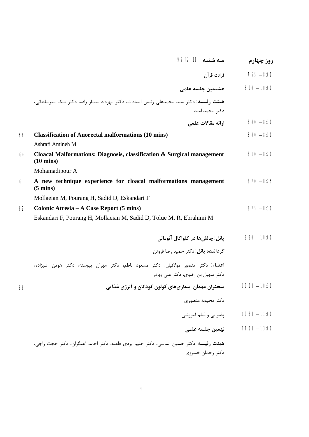|    | سه شنبه 97/2/18                                                                                | روز چهارم:      |
|----|------------------------------------------------------------------------------------------------|-----------------|
|    | قرائت قرآن                                                                                     | $7:55 - 8:00$   |
|    | هشتمين جلسه علمى                                                                               | $8:00 - 10:00$  |
|    | <b>هیئت رئیسه:</b> دکتر سید محمدعلی رئیس السادات، دکتر مهرداد معمار زاده، دکتر بابک میرسلطانی، |                 |
|    | دكتر محمد اميد                                                                                 |                 |
|    | ارائه مقالات علمي                                                                              | $8:00 - 8:30$   |
| 56 | <b>Classification of Anorectal malformations (10 mins)</b>                                     | $8:00 - 8:10$   |
|    | Ashrafi Amineh M                                                                               |                 |
| 60 | Cloacal Malformations: Diagnosis, classification & Surgical management<br>$(10 \text{ mins})$  | $8:10 - 8:20$   |
|    | Mohamadipour A                                                                                 |                 |
| 61 | A new technique experience for cloacal malformations management<br>$(5 \text{ mins})$          | $8:20 - 8:25$   |
|    | Mollaeian M, Pourang H, Sadid D, Eskandari F                                                   |                 |
| 62 | Colonic Atresia – A Case Report (5 mins)                                                       | $8:25 - 8:30$   |
|    | Eskandari F, Pourang H, Mollaeian M, Sadid D, Tolue M. R, Ebrahimi M                           |                 |
|    |                                                                                                | $8:30 - 10:00$  |
|    | يانل: چالشھا در کلواکال آنومالي                                                                |                 |
|    | <b>گرداننده یانل</b> : دکتر حمید رضا فروتن                                                     |                 |
|    | <b>اعضاء</b> : دکتر منصور مولائیان، دکتر مسعود ناظم، دکتر مهران پیوسته، دکتر هومن علیزاده،     |                 |
|    | دکتر سهیل بن رضوی، دکتر علی بهادر                                                              |                 |
| 63 | سخنران مهمان: بیماریهای کولون کودکان و آلرژی غذایی                                             | $10:00 - 10:30$ |
|    | دكتر محبوبه منصورى                                                                             |                 |
|    | پذیرایی و فیلم آموزشی                                                                          | $10:30 - 11:00$ |
|    | نهمين جلسه علمى                                                                                | $11:00 - 13:00$ |
|    | هيئت رئيسه: دكتر حسين الماسي، دكتر حليم بردي طعنه، دكتر احمد آهنگران، دكتر حجت راجي،           |                 |
|    | دكتر رحمان خسروى                                                                               |                 |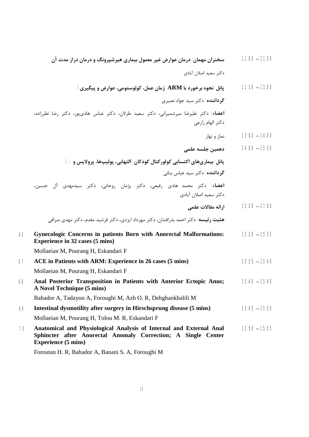|    | سخنران مهمان: درمان عوارض غیر معمول بیماری هیرشیرونگ و درمان دراز مدت آن                                                                                           | $11:00 - 11:30$ |
|----|--------------------------------------------------------------------------------------------------------------------------------------------------------------------|-----------------|
|    | دكتر سعيد اصلان آبادي                                                                                                                                              |                 |
|    | پانل: نحوه برخورد با ARM (زمان عمل، کولوستومی، عوارض و پیگیری)                                                                                                     | $11:30 - 13:00$ |
|    | گر <b>داننده</b> : دکتر سید جواد نصیری                                                                                                                             |                 |
|    | <b>اعضاء</b> : دکتر علیرضا میرشمیرانی، دکتر سعید طرلان، دکتر عباس هادیپور، دکتر رضا نظرزاده،<br>دکتر الهام زارعی                                                   |                 |
|    | نماز و نهار                                                                                                                                                        | $13:00 - 14:00$ |
|    | دهمين جلسه علمى                                                                                                                                                    | $14:00 - 15:30$ |
|    | پانل: بیماریهای اکتسابی کولورکتال کودکان (التهابی، پولیپها، پرولاپس و …)                                                                                           |                 |
|    | گرداننده: دکتر سید عباس بنانی                                                                                                                                      |                 |
|    | <b>اعضاء</b> : دکتر محمد هادی رفیعی، دکتر پژمان روحانی، دکتر سیدمهدی آل حسین،<br>دكتر سعيد اصلان آبادي                                                             |                 |
|    | ارائه مقالات علمي                                                                                                                                                  | $15:30 - 17:00$ |
|    | <b>هئيت رئيسه</b> : دكتر احمد بذرافشان، دكتر مهرداد ايزدي، دكتر فرشيد مقدم، دكتر مهدي صرافي                                                                        |                 |
| 65 | Gynecologic Concerns in patients Born with Anorectal Malformations:<br><b>Experience in 32 cases (5 mins)</b>                                                      | $15:30 - 15:35$ |
|    | Mollaeian M, Pourang H, Eskandari F                                                                                                                                |                 |
| 67 | ACE in Patients with ARM: Experience in 26 cases (5 mins)                                                                                                          | $15:35 - 15:40$ |
|    | Mollaeian M, Pourang H, Eskandari F                                                                                                                                |                 |
| 68 | Anal Posterior Transposition in Patients with Anterior Ectopic Anus;<br>A Novel Technique (5 mins)                                                                 | $15:40 - 15:45$ |
|    | Bahador A, Tadayon A, Foroughi M, Azh O. R, Dehghankhalili M                                                                                                       |                 |
| 69 | Intestinal dysmotility after surgery in Hirschsprung disease (5 mins)                                                                                              | $15:45 - 15:50$ |
|    | Mollaeian M, Pourang H, Tolou M. R, Eskandari F                                                                                                                    |                 |
| 70 | Anatomical and Physiological Analysis of Internal and External Anal<br>Sphincter after Anorectal Anomaly Correction; A Single Center<br><b>Experience (5 mins)</b> | $15:50 - 15:55$ |
|    | Foroutan H. R, Bahador A, Banani S. A, Foroughi M                                                                                                                  |                 |